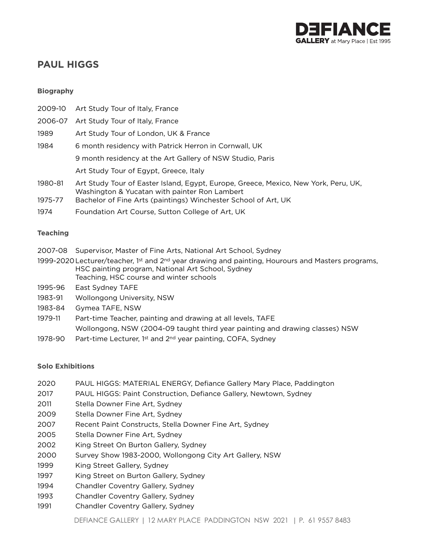

# **PAUL HIGGS**

### **Biography**

| 2009-10 | Art Study Tour of Italy, France                                                                                                      |
|---------|--------------------------------------------------------------------------------------------------------------------------------------|
| 2006-07 | Art Study Tour of Italy, France                                                                                                      |
| 1989    | Art Study Tour of London, UK & France                                                                                                |
| 1984    | 6 month residency with Patrick Herron in Cornwall, UK                                                                                |
|         | 9 month residency at the Art Gallery of NSW Studio, Paris                                                                            |
|         | Art Study Tour of Egypt, Greece, Italy                                                                                               |
| 1980-81 | Art Study Tour of Easter Island, Egypt, Europe, Greece, Mexico, New York, Peru, UK,<br>Washington & Yucatan with painter Ron Lambert |
| 1975-77 | Bachelor of Fine Arts (paintings) Winchester School of Art, UK                                                                       |
| 1974    | Foundation Art Course, Sutton College of Art, UK                                                                                     |

### **Teaching**

- 2007-08 Supervisor, Master of Fine Arts, National Art School, Sydney
- 1999-2020 Lecturer/teacher, 1<sup>st</sup> and 2<sup>nd</sup> year drawing and painting, Hourours and Masters programs, HSC painting program, National Art School, Sydney Teaching, HSC course and winter schools
- 1995-96 East Sydney TAFE
- 1983-91 Wollongong University, NSW
- 1983-84 Gymea TAFE, NSW
- 1979-11 Part-time Teacher, painting and drawing at all levels, TAFE Wollongong, NSW (2004-09 taught third year painting and drawing classes) NSW
- 1978-90 Part-time Lecturer, 1st and 2<sup>nd</sup> year painting, COFA, Sydney

### **Solo Exhibitions**

- 2020 PAUL HIGGS: MATERIAL ENERGY, Defiance Gallery Mary Place, Paddington
- 2017 PAUL HIGGS: Paint Construction, Defiance Gallery, Newtown, Sydney
- 2011 Stella Downer Fine Art, Sydney
- 2009 Stella Downer Fine Art, Sydney
- 2007 Recent Paint Constructs, Stella Downer Fine Art, Sydney
- 2005 Stella Downer Fine Art, Sydney
- 2002 King Street On Burton Gallery, Sydney
- 2000 Survey Show 1983-2000, Wollongong City Art Gallery, NSW
- 1999 King Street Gallery, Sydney
- 1997 King Street on Burton Gallery, Sydney
- 1994 Chandler Coventry Gallery, Sydney
- 1993 Chandler Coventry Gallery, Sydney
- 1991 Chandler Coventry Gallery, Sydney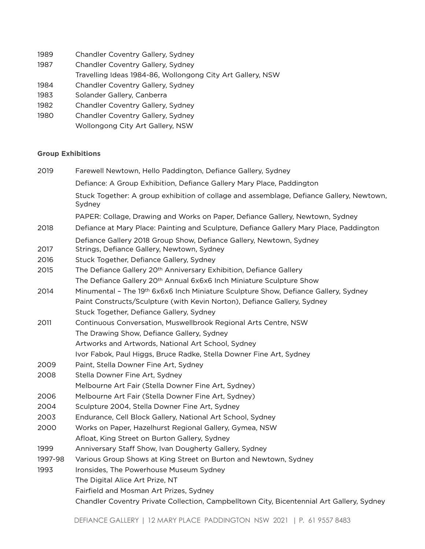- 1989 Chandler Coventry Gallery, Sydney
- 1987 Chandler Coventry Gallery, Sydney
- Travelling Ideas 1984-86, Wollongong City Art Gallery, NSW
- 1984 Chandler Coventry Gallery, Sydney
- 1983 Solander Gallery, Canberra
- 1982 Chandler Coventry Gallery, Sydney
- 1980 Chandler Coventry Gallery, Sydney Wollongong City Art Gallery, NSW

## **Group Exhibitions**

| 2019    | Farewell Newtown, Hello Paddington, Defiance Gallery, Sydney                                                      |
|---------|-------------------------------------------------------------------------------------------------------------------|
|         | Defiance: A Group Exhibition, Defiance Gallery Mary Place, Paddington                                             |
|         | Stuck Together: A group exhibition of collage and assemblage, Defiance Gallery, Newtown,<br>Sydney                |
|         | PAPER: Collage, Drawing and Works on Paper, Defiance Gallery, Newtown, Sydney                                     |
| 2018    | Defiance at Mary Place: Painting and Sculpture, Defiance Gallery Mary Place, Paddington                           |
| 2017    | Defiance Gallery 2018 Group Show, Defiance Gallery, Newtown, Sydney<br>Strings, Defiance Gallery, Newtown, Sydney |
| 2016    | Stuck Together, Defiance Gallery, Sydney                                                                          |
| 2015    | The Defiance Gallery 20 <sup>th</sup> Anniversary Exhibition, Defiance Gallery                                    |
|         | The Defiance Gallery 20 <sup>th</sup> Annual 6x6x6 Inch Miniature Sculpture Show                                  |
| 2014    | Minumental - The 19th 6x6x6 Inch Miniature Sculpture Show, Defiance Gallery, Sydney                               |
|         | Paint Constructs/Sculpture (with Kevin Norton), Defiance Gallery, Sydney                                          |
|         | Stuck Together, Defiance Gallery, Sydney                                                                          |
| 2011    | Continuous Conversation, Muswellbrook Regional Arts Centre, NSW                                                   |
|         | The Drawing Show, Defiance Gallery, Sydney                                                                        |
|         | Artworks and Artwords, National Art School, Sydney                                                                |
|         | Ivor Fabok, Paul Higgs, Bruce Radke, Stella Downer Fine Art, Sydney                                               |
| 2009    | Paint, Stella Downer Fine Art, Sydney                                                                             |
| 2008    | Stella Downer Fine Art, Sydney                                                                                    |
|         | Melbourne Art Fair (Stella Downer Fine Art, Sydney)                                                               |
| 2006    | Melbourne Art Fair (Stella Downer Fine Art, Sydney)                                                               |
| 2004    | Sculpture 2004, Stella Downer Fine Art, Sydney                                                                    |
| 2003    | Endurance, Cell Block Gallery, National Art School, Sydney                                                        |
| 2000    | Works on Paper, Hazelhurst Regional Gallery, Gymea, NSW                                                           |
|         | Afloat, King Street on Burton Gallery, Sydney                                                                     |
| 1999    | Anniversary Staff Show, Ivan Dougherty Gallery, Sydney                                                            |
| 1997-98 | Various Group Shows at King Street on Burton and Newtown, Sydney                                                  |
| 1993    | Ironsides, The Powerhouse Museum Sydney                                                                           |
|         | The Digital Alice Art Prize, NT                                                                                   |
|         | Fairfield and Mosman Art Prizes, Sydney                                                                           |
|         | Chandler Coventry Private Collection, Campbelltown City, Bicentennial Art Gallery, Sydney                         |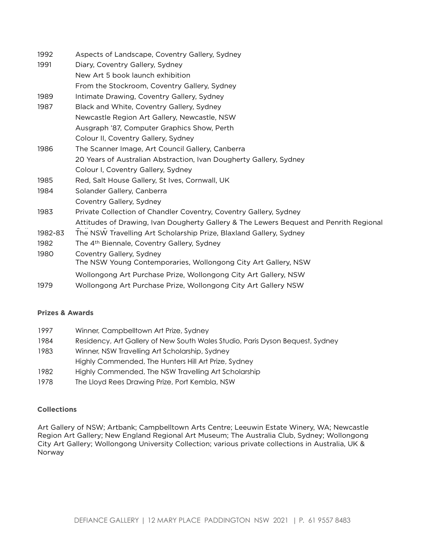| 1992    | Aspects of Landscape, Coventry Gallery, Sydney                                         |
|---------|----------------------------------------------------------------------------------------|
| 1991    | Diary, Coventry Gallery, Sydney                                                        |
|         | New Art 5 book launch exhibition                                                       |
|         | From the Stockroom, Coventry Gallery, Sydney                                           |
| 1989    | Intimate Drawing, Coventry Gallery, Sydney                                             |
| 1987    | Black and White, Coventry Gallery, Sydney                                              |
|         | Newcastle Region Art Gallery, Newcastle, NSW                                           |
|         | Ausgraph '87, Computer Graphics Show, Perth                                            |
|         | Colour II, Coventry Gallery, Sydney                                                    |
| 1986    | The Scanner Image, Art Council Gallery, Canberra                                       |
|         | 20 Years of Australian Abstraction, Ivan Dougherty Gallery, Sydney                     |
|         | Colour I, Coventry Gallery, Sydney                                                     |
| 1985    | Red, Salt House Gallery, St Ives, Cornwall, UK                                         |
| 1984    | Solander Gallery, Canberra                                                             |
|         | Coventry Gallery, Sydney                                                               |
| 1983    | Private Collection of Chandler Coventry, Coventry Gallery, Sydney                      |
|         | Attitudes of Drawing, Ivan Dougherty Gallery & The Lewers Bequest and Penrith Regional |
| 1982-83 | The NSW Travelling Art Scholarship Prize, Blaxland Gallery, Sydney                     |
| 1982    | The 4 <sup>th</sup> Biennale, Coventry Gallery, Sydney                                 |
| 1980    | Coventry Gallery, Sydney                                                               |
|         | The NSW Young Contemporaries, Wollongong City Art Gallery, NSW                         |
|         | Wollongong Art Purchase Prize, Wollongong City Art Gallery, NSW                        |
| 1979    | Wollongong Art Purchase Prize, Wollongong City Art Gallery NSW                         |

### **Prizes & Awards**

- 1997 Winner, Campbelltown Art Prize, Sydney
- 1984 Residency, Art Gallery of New South Wales Studio, Paris Dyson Bequest, Sydney
- 1983 Winner, NSW Travelling Art Scholarship, Sydney
- Highly Commended, The Hunters Hill Art Prize, Sydney
- 1982 Highly Commended, The NSW Travelling Art Scholarship
- 1978 The Lloyd Rees Drawing Prize, Port Kembla, NSW

### **Collections**

Art Gallery of NSW; Artbank; Campbelltown Arts Centre; Leeuwin Estate Winery, WA; Newcastle Region Art Gallery; New England Regional Art Museum; The Australia Club, Sydney; Wollongong City Art Gallery; Wollongong University Collection; various private collections in Australia, UK & Norway